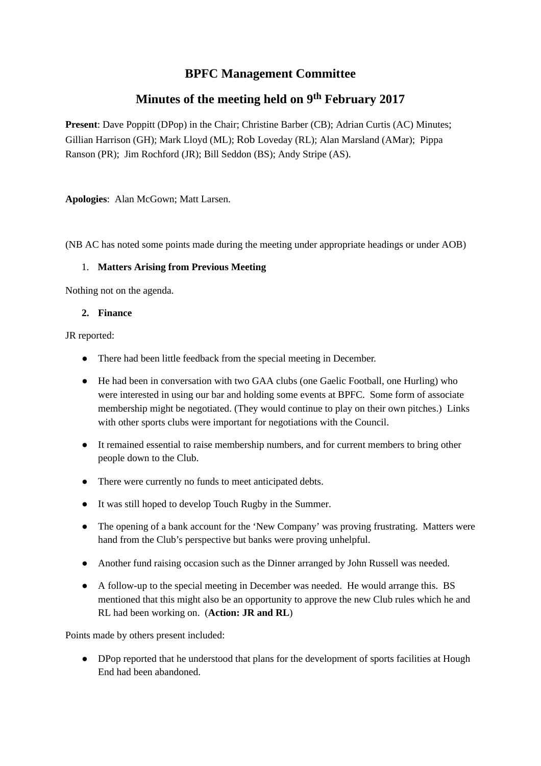# **BPFC Management Committee**

# **Minutes of the meeting held on 9 th February 2017**

**Present**: Dave Poppitt (DPop) in the Chair; Christine Barber (CB); Adrian Curtis (AC) Minutes; Gillian Harrison (GH); Mark Lloyd (ML); Rob Loveday (RL); Alan Marsland (AMar); Pippa Ranson (PR); Jim Rochford (JR); Bill Seddon (BS); Andy Stripe (AS).

**Apologies**: Alan McGown; Matt Larsen.

(NB AC has noted some points made during the meeting under appropriate headings or under AOB)

#### 1. **Matters Arising from Previous Meeting**

Nothing not on the agenda.

#### **2. Finance**

JR reported:

- There had been little feedback from the special meeting in December.
- He had been in conversation with two GAA clubs (one Gaelic Football, one Hurling) who were interested in using our bar and holding some events at BPFC. Some form of associate membership might be negotiated. (They would continue to play on their own pitches.) Links with other sports clubs were important for negotiations with the Council.
- It remained essential to raise membership numbers, and for current members to bring other people down to the Club.
- There were currently no funds to meet anticipated debts.
- It was still hoped to develop Touch Rugby in the Summer.
- The opening of a bank account for the 'New Company' was proving frustrating. Matters were hand from the Club's perspective but banks were proving unhelpful.  $\bullet$
- Another fund raising occasion such as the Dinner arranged by John Russell was needed.
- A follow-up to the special meeting in December was needed. He would arrange this. BS mentioned that this might also be an opportunity to approve the new Club rules which he and RL had been working on. (**Action: JR and RL**)

Points made by others present included:

DPop reported that he understood that plans for the development of sports facilities at Hough ●End had been abandoned.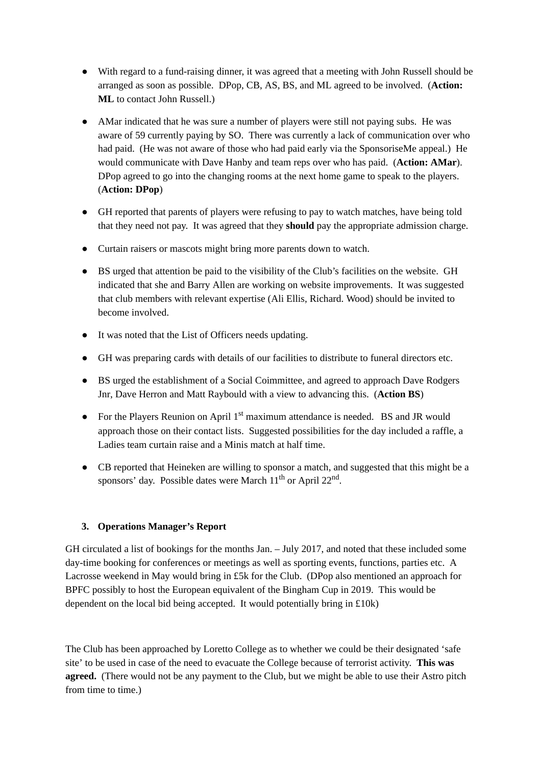- With regard to a fund-raising dinner, it was agreed that a meeting with John Russell should be arranged as soon as possible. DPop, CB, AS, BS, and ML agreed to be involved. (**Action: ML** to contact John Russell.)
- AMar indicated that he was sure a number of players were still not paying subs. He was aware of 59 currently paying by SO. There was currently a lack of communication over who had paid. (He was not aware of those who had paid early via the SponsoriseMe appeal.) He would communicate with Dave Hanby and team reps over who has paid. (**Action: AMar**). DPop agreed to go into the changing rooms at the next home game to speak to the players. (**Action: DPop**)
- GH reported that parents of players were refusing to pay to watch matches, have being told that they need not pay. It was agreed that they **should** pay the appropriate admission charge.
- Curtain raisers or mascots might bring more parents down to watch.
- BS urged that attention be paid to the visibility of the Club's facilities on the website. GH indicated that she and Barry Allen are working on website improvements. It was suggested that club members with relevant expertise (Ali Ellis, Richard. Wood) should be invited to become involved.
- It was noted that the List of Officers needs updating.
- GH was preparing cards with details of our facilities to distribute to funeral directors etc.
- BS urged the establishment of a Social Coimmittee, and agreed to approach Dave Rodgers Jnr, Dave Herron and Matt Raybould with a view to advancing this. (**Action BS**)
- For the Players Reunion on April 1<sup>st</sup> maximum attendance is needed. BS and JR would approach those on their contact lists. Suggested possibilities for the day included a raffle, a Ladies team curtain raise and a Minis match at half time.
- CB reported that Heineken are willing to sponsor a match, and suggested that this might be a sponsors' day. Possible dates were March  $11^{\text{th}}$  or April 22<sup>nd</sup>.

## **3. Operations Manager's Report**

GH circulated a list of bookings for the months Jan. – July 2017, and noted that these included some day-time booking for conferences or meetings as well as sporting events, functions, parties etc. A Lacrosse weekend in May would bring in £5k for the Club. (DPop also mentioned an approach for BPFC possibly to host the European equivalent of the Bingham Cup in 2019. This would be dependent on the local bid being accepted. It would potentially bring in £10k)

The Club has been approached by Loretto College as to whether we could be their designated 'safe site' to be used in case of the need to evacuate the College because of terrorist activity. **This was agreed.** (There would not be any payment to the Club, but we might be able to use their Astro pitch from time to time.)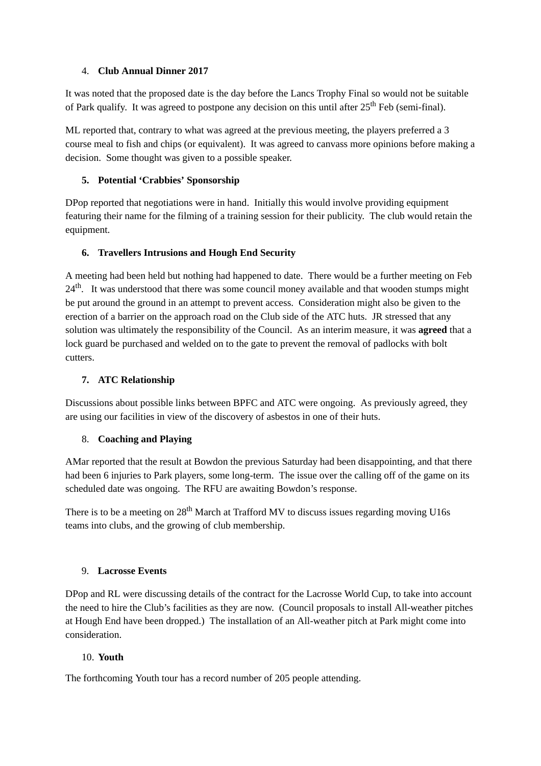## 4. **Club Annual Dinner 2017**

It was noted that the proposed date is the day before the Lancs Trophy Final so would not be suitable of Park qualify. It was agreed to postpone any decision on this until after 25<sup>th</sup> Feb (semi-final).

ML reported that, contrary to what was agreed at the previous meeting, the players preferred a 3 course meal to fish and chips (or equivalent). It was agreed to canvass more opinions before making a decision. Some thought was given to a possible speaker.

## **5. Potential 'Crabbies' Sponsorship**

DPop reported that negotiations were in hand. Initially this would involve providing equipment featuring their name for the filming of a training session for their publicity. The club would retain the equipment.

## **6. Travellers Intrusions and Hough End Security**

A meeting had been held but nothing had happened to date. There would be a further meeting on Feb 24<sup>th</sup>. It was understood that there was some council money available and that wooden stumps might be put around the ground in an attempt to prevent access. Consideration might also be given to the erection of a barrier on the approach road on the Club side of the ATC huts. JR stressed that any solution was ultimately the responsibility of the Council. As an interim measure, it was **agreed** that a lock guard be purchased and welded on to the gate to prevent the removal of padlocks with bolt cutters.

## **7. ATC Relationship**

Discussions about possible links between BPFC and ATC were ongoing. As previously agreed, they are using our facilities in view of the discovery of asbestos in one of their huts.

## 8. **Coaching and Playing**

AMar reported that the result at Bowdon the previous Saturday had been disappointing, and that there had been 6 injuries to Park players, some long-term. The issue over the calling off of the game on its scheduled date was ongoing. The RFU are awaiting Bowdon's response.

There is to be a meeting on 28<sup>th</sup> March at Trafford MV to discuss issues regarding moving U16s teams into clubs, and the growing of club membership.

## 9. **Lacrosse Events**

DPop and RL were discussing details of the contract for the Lacrosse World Cup, to take into account the need to hire the Club's facilities as they are now. (Council proposals to install All-weather pitches at Hough End have been dropped.) The installation of an All-weather pitch at Park might come into consideration.

## 10. **Youth**

The forthcoming Youth tour has a record number of 205 people attending.